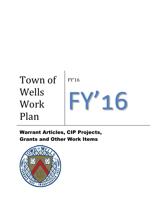

Warrant Articles, CIP Projects, Grants and Other Work Items

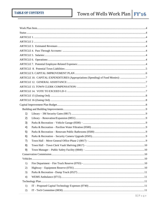### Town of Wells Work Plan  $\frac{FY'16}{FY'16}$

|    | ARTICLE 10. CAPITAL EXPENDITURES (Appropriations (Spending) of Fund Monies): 7 |  |
|----|--------------------------------------------------------------------------------|--|
|    |                                                                                |  |
|    |                                                                                |  |
|    |                                                                                |  |
|    |                                                                                |  |
|    |                                                                                |  |
|    |                                                                                |  |
|    |                                                                                |  |
| 1) |                                                                                |  |
| 2) |                                                                                |  |
| 3) |                                                                                |  |
| 4) |                                                                                |  |
| 5) |                                                                                |  |
| 6) |                                                                                |  |
| 7) |                                                                                |  |
| 8) |                                                                                |  |
| 9) |                                                                                |  |
|    |                                                                                |  |
|    |                                                                                |  |
| 1) |                                                                                |  |
| 2) |                                                                                |  |
| 3) |                                                                                |  |
| 4) |                                                                                |  |
|    |                                                                                |  |
| 1) |                                                                                |  |
| 2) |                                                                                |  |
|    |                                                                                |  |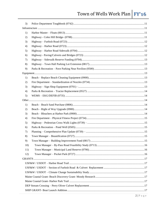## Town of Wells Work Plan  $\frac{FY'16}{FY'16}$

| 3)  |  |  |  |
|-----|--|--|--|
|     |  |  |  |
| 1)  |  |  |  |
| 2)  |  |  |  |
| 3)  |  |  |  |
| 4)  |  |  |  |
| 5)  |  |  |  |
| 6)  |  |  |  |
| 7)  |  |  |  |
| 8)  |  |  |  |
| 9)  |  |  |  |
|     |  |  |  |
| 1)  |  |  |  |
| 2)  |  |  |  |
| 3)  |  |  |  |
| 4)  |  |  |  |
| 5)  |  |  |  |
|     |  |  |  |
| 1)  |  |  |  |
| 2)  |  |  |  |
| 3)  |  |  |  |
| 4)  |  |  |  |
| 5)  |  |  |  |
| 6)  |  |  |  |
| 7)  |  |  |  |
| 8)  |  |  |  |
| 9)  |  |  |  |
| 10) |  |  |  |
| 11) |  |  |  |
| 12) |  |  |  |
|     |  |  |  |
|     |  |  |  |
|     |  |  |  |
|     |  |  |  |
|     |  |  |  |
|     |  |  |  |
|     |  |  |  |
|     |  |  |  |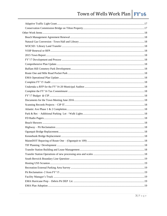## Town of Wells Work Plan  $\frac{FY'16}{FY'16}$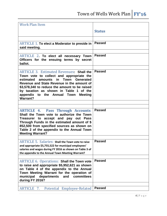<span id="page-4-8"></span><span id="page-4-7"></span><span id="page-4-6"></span><span id="page-4-5"></span><span id="page-4-4"></span><span id="page-4-3"></span><span id="page-4-2"></span><span id="page-4-1"></span><span id="page-4-0"></span>

| <b>Work Plan Item</b>                                                                                                                                                                                                                                                                                                                       |               |
|---------------------------------------------------------------------------------------------------------------------------------------------------------------------------------------------------------------------------------------------------------------------------------------------------------------------------------------------|---------------|
|                                                                                                                                                                                                                                                                                                                                             | <b>Status</b> |
|                                                                                                                                                                                                                                                                                                                                             |               |
|                                                                                                                                                                                                                                                                                                                                             |               |
| <b>ARTICLE 1. To elect a Moderator to preside in</b><br>said meeting.                                                                                                                                                                                                                                                                       | <b>Passed</b> |
|                                                                                                                                                                                                                                                                                                                                             |               |
| ARTICLE 2. To elect all necessary Town<br>Officers for the ensuing terms by secret<br>ballot.                                                                                                                                                                                                                                               | <b>Passed</b> |
|                                                                                                                                                                                                                                                                                                                                             |               |
| <b>ARTICLE 3. Estimated Revenues: Shall the</b><br>Town vote to collect and appropriate the<br>amounts in Town<br><b>Generated</b><br>estimated<br>Revenue and State Revenue in the amount of<br>\$3,578,340 to reduce the amount to be raised<br>by taxation as shown in Table 1 of the<br>appendix to the Annual Town Meeting<br>Warrant? | <b>Passed</b> |
|                                                                                                                                                                                                                                                                                                                                             |               |
|                                                                                                                                                                                                                                                                                                                                             |               |
| <b>ARTICLE 4. Pass Through Accounts:</b><br>Shall the Town vote to authorize the Town<br>Treasurer to accept and pay out Pass<br>Through Funds in the estimated amount of \$<br>852,500 from specified sources as shown on<br>Table 2 of the appendix to the Annual Town<br><b>Meeting Warrant?</b>                                         | <b>Passed</b> |
|                                                                                                                                                                                                                                                                                                                                             |               |
| <b>ARTICLE 5. Salaries: Shall the Town vote to raise</b><br>and appropriate \$5,755,522 for municipal employees'<br>salaries and wages during FY 2016 as shown on Table 3 of<br>the appendix to the Annual Town Meeting Warrant?                                                                                                            | <b>Passed</b> |
|                                                                                                                                                                                                                                                                                                                                             |               |
| <b>ARTICLE 6. Operations: Shall the Town vote</b><br>to raise and appropriate \$5,952,621 as shown<br>on Table 4 of the appendix to the Annual<br>Town Meeting Warrant for the operation of<br>municipal<br>committees<br>departments<br>and<br>during FY 2016?                                                                             | <b>Passed</b> |
|                                                                                                                                                                                                                                                                                                                                             |               |
| ARTICLE 7.<br>Potential Employee-Related                                                                                                                                                                                                                                                                                                    | <b>Passed</b> |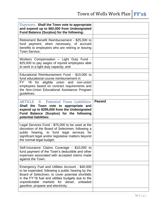<span id="page-5-0"></span>

| <b>Expenses: Shall the Town vote to appropriate</b><br>and expend up to \$60,000 from Undesignated<br>Fund Balance (Surplus) for the following:                                                                                                                                                     |               |
|-----------------------------------------------------------------------------------------------------------------------------------------------------------------------------------------------------------------------------------------------------------------------------------------------------|---------------|
| Retirement Benefit Reimbursement - \$25,000 to<br>fund payment, when necessary, of accrued<br>benefits to employees who are retiring or leaving<br>Town Service:                                                                                                                                    |               |
| Workers Compensation - Light Duty Fund -<br>\$25,000 to pay wages of injured employees able<br>to work in a light duty capacity; and                                                                                                                                                                |               |
| Educational Reimbursement Fund - \$10,000 to<br>fund educational course reimbursement in                                                                                                                                                                                                            |               |
| FY' 16<br>for eligible union and<br>non-union<br>employees based on contract requirements and<br>the Non-Union Educational Assistance Program<br>guidelines.                                                                                                                                        |               |
| <b>ARTICLE</b> 8. Potential Town Liabilities:<br>Shall the Town vote to appropriate and<br>expend up to \$295,000 from the Undesignated<br>Fund Balance (Surplus) for the following<br>potential liabilities:                                                                                       | <b>Passed</b> |
| Legal Services Fund - \$75,000 to be used at the<br>discretion of the Board of Selectmen, following a<br>public hearing, to fund legal services for<br>significant legal and/or legislative matters beyond<br>the normal legal budget;                                                              |               |
| Self-Insurance Claims Coverage - \$10,000 to<br>fund payment of the Town's deductible and other<br>expenses associated with accepted claims made<br>against the Town;                                                                                                                               |               |
| Emergency Fuel and Utilities Account - \$40,000<br>to be expended, following a public hearing by the<br>Board of Selectmen, to cover potential shortfalls<br>in the FY'16 fuel and utilities budgets due to the<br>unpredictable markets for diesel, unleaded<br>gasoline, propane and electricity; |               |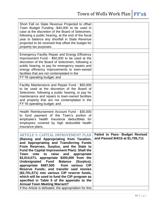<span id="page-6-0"></span>

| Short Fall on State Revenue Projected to offset<br>Town Budget Funding -\$40,000 to be used in<br>case at the discretion of the Board of Selectmen,<br>following a public hearing, at the end of the fiscal<br>year to balance any shortfall in State Revenue<br>projected to be received that offset the budget for<br>property tax purposes.                                                                                                                                                                                                                                                                                                                                                          |                                       |
|---------------------------------------------------------------------------------------------------------------------------------------------------------------------------------------------------------------------------------------------------------------------------------------------------------------------------------------------------------------------------------------------------------------------------------------------------------------------------------------------------------------------------------------------------------------------------------------------------------------------------------------------------------------------------------------------------------|---------------------------------------|
| <b>Emergency Facility Repair and Energy Efficiency</b><br>Improvement Fund - \$50,000 to be used at the<br>discretion of the Board of Selectmen, following a<br>public hearing, to pay for emergency repairs and<br>energy efficiency improvements to town-owned<br>facilities that are not contemplated in the                                                                                                                                                                                                                                                                                                                                                                                         |                                       |
| FY'16 operating budget; and                                                                                                                                                                                                                                                                                                                                                                                                                                                                                                                                                                                                                                                                             |                                       |
| Facility Maintenance and Repair Fund - \$50,000<br>to be used at the discretion of the Board of<br>Selectmen, following a public hearing, to pay for<br>maintenance and repairs to town-owned facilities<br>and property that are not contemplated in the<br>FY'16 operating budget; and                                                                                                                                                                                                                                                                                                                                                                                                                |                                       |
| Health Reimbursement Account Fund - \$30,000<br>to fund payment of the Town's portion of<br>employee's health insurance deductibles for<br>employees covered by high deductible health<br>insurance plans.                                                                                                                                                                                                                                                                                                                                                                                                                                                                                              |                                       |
| <b>ARTICLE 9. CAPITAL IMPROVEMENT PLAN</b>                                                                                                                                                                                                                                                                                                                                                                                                                                                                                                                                                                                                                                                              | <b>Failed to Pass- Budget Revised</b> |
| (Raising and Appropriating from Taxation,<br>and Appropriating and Transferring Funds<br>From Reserves, Surplus, and the State to<br>Fund the Capital Improvement Plan): Shall the<br>vote<br>raise<br>and<br>Town<br>to<br>appropriate<br>\$2,014,071; appropriate \$200,000 from the<br><b>Undesignated</b><br><b>Fund</b><br><b>Balance</b><br>(Surplus);<br>appropriate \$487,500<br>from various CIP<br>Reserve Funds; and transfer said monies<br>(\$2,701,571) into various CIP reserve funds,<br>which will be used to fund the CIP program as<br>specified in Table 5 of the appendix to the<br><b>Annual Town Meeting Warrant?</b><br>If this Article is defeated, the appropriation for this | and Passed 8/4/15 at \$1,705,711      |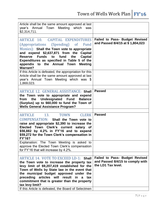<span id="page-7-3"></span><span id="page-7-2"></span><span id="page-7-1"></span><span id="page-7-0"></span>

| Article shall be the same amount approved at last<br>year's Annual Town<br>Meeting which<br>was<br>\$2,314,711.                                                                                                                                                                                                                                                                                                           |                                                                                                 |
|---------------------------------------------------------------------------------------------------------------------------------------------------------------------------------------------------------------------------------------------------------------------------------------------------------------------------------------------------------------------------------------------------------------------------|-------------------------------------------------------------------------------------------------|
| ARTICLE 10. CAPITAL EXPENDITURES<br>(Appropriations (Spending)<br><sub>of</sub><br>Fund<br>Monies): Shall the Town vote to appropriate<br>and expend \$2,637,871 from the<br><b>Capital</b><br>Funds to fund<br>the<br>Reserve<br><b>Capital</b><br>Expenditures as specified in Table 5 of the<br>appendix to the Annual<br><b>Town</b><br><b>Meeting</b><br><b>Warrant?</b>                                             | <b>Failed to Pass- Budget Revised</b><br>and Passed 8/4/15 at \$1,804,023                       |
| If this Article is defeated, the appropriation for this<br>Article shall be the same amount approved at last<br>year's Annual Town Meeting which was \$<br>1,869,023.                                                                                                                                                                                                                                                     |                                                                                                 |
| <b>ARTICLE 12. GENERAL ASSISTANCE: Shall</b><br>the Town vote to appropriate and expend<br>Undesignated Fund<br>from the<br><b>Balance</b><br>(Surplus) up to \$60,000 to fund the Town of<br><b>Wells General Assistance Program?</b>                                                                                                                                                                                    | <b>Passed</b>                                                                                   |
| <b>ARTICLE</b><br><b>TOWN</b><br>13.<br><b>CLERK</b><br>COMPENSATION: Shall the Town vote to<br>raise and appropriate \$2,390 to increase the<br>Elected Town Clerk's current salary of<br>\$56,882 by 4.2% in FY'16 and to expend<br>\$59,272 for the Town Clerk's compensation in<br>FY'16?                                                                                                                             | <b>Passed</b>                                                                                   |
| Explanation: The Town Meeting is asked to<br>approve the Elected Town Clerk's compensation<br>for FY'16 that will increase by 4.2%.                                                                                                                                                                                                                                                                                       |                                                                                                 |
| ARTICLE 14. VOTE TO EXCEED LD-1: Shall<br>the Town vote to increase the property tax<br>levy limit of \$9,207,419 established for the<br>Town of Wells by State law in the event that<br>the municipal budget approved under the<br>preceding articles will result<br>in<br>$\mathsf{a}$<br>tax<br>commitment that is greater than the property<br>tax levy limit?<br>If this Article is defeated, the Board of Selectmen | <b>Failed to Pass- Budget Revised</b><br>and Passed 8/4/15 to comply with<br>the LD1 Tax level. |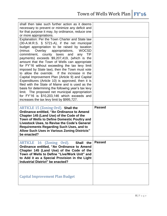<span id="page-8-2"></span><span id="page-8-1"></span><span id="page-8-0"></span>

| shall then take such further action as it deems<br>necessary to prevent or minimize any deficit and<br>for that purpose it may, by ordinance, reduce one<br>or more appropriations.                                                                                                                                                                                                                                                                                                                                                                                                                                                                                                                                                                                                                                                                                                 |               |
|-------------------------------------------------------------------------------------------------------------------------------------------------------------------------------------------------------------------------------------------------------------------------------------------------------------------------------------------------------------------------------------------------------------------------------------------------------------------------------------------------------------------------------------------------------------------------------------------------------------------------------------------------------------------------------------------------------------------------------------------------------------------------------------------------------------------------------------------------------------------------------------|---------------|
| Explanation: Per the Town Charter and State law<br>(30-A.M.R.S. § 5721-A), if the net municipal<br>budget appropriation to be raised by taxation<br>Overlay<br>(minus<br>appropriations,<br><b>WOCSD</b><br>county taxes and<br>TIF<br>commitment,<br>any<br>payments) exceeds \$9,207,419, (which is the<br>amount that the Town of Wells can appropriate<br>for FY'16 without exceeding the tax levy limit<br>imposed by State law), then the Town must vote<br>to allow the override. If the increase in the<br>Capital Improvement Plan (Article 9) and Capital<br>Expenditures (Article 10) is approved, then it is<br>filed with the State of Maine and is used as the<br>basis for determining the following year's tax levy<br>limit. The proposed net municipal appropriation<br>for FY'16 is \$10,203,146 which exceeds and<br>increases the tax levy limit by \$995,727. |               |
|                                                                                                                                                                                                                                                                                                                                                                                                                                                                                                                                                                                                                                                                                                                                                                                                                                                                                     |               |
| ARTICLE 15 (Zoning Ord). Shall the                                                                                                                                                                                                                                                                                                                                                                                                                                                                                                                                                                                                                                                                                                                                                                                                                                                  | <b>Passed</b> |
| Ordinance entitled, "An Ordinance to Amend<br>Chapter 145 (Land Use) of the Code of the<br>Town of Wells to Define Domestic Poultry and<br><b>Livestock Uses, to Revise the Code's General</b><br><b>Requirements Regarding Such Uses, and to</b><br><b>Allow Such Uses in Various Zoning Districts"</b><br>be enacted?                                                                                                                                                                                                                                                                                                                                                                                                                                                                                                                                                             |               |
|                                                                                                                                                                                                                                                                                                                                                                                                                                                                                                                                                                                                                                                                                                                                                                                                                                                                                     |               |
| ARTICLE 16 (Zoning Ord).<br>Shall the<br>Ordinance entitled, "An Ordinance to Amend<br>Chapter 145 (Land Use) of the Code of the<br>Town of Wells to Define "Live/Work Unit" and<br>to Add it as a Special Provision in the Light<br><b>Industrial District" be enacted?</b>                                                                                                                                                                                                                                                                                                                                                                                                                                                                                                                                                                                                        | <b>Passed</b> |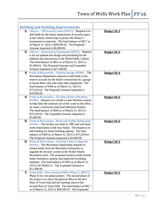<span id="page-9-7"></span><span id="page-9-6"></span><span id="page-9-5"></span><span id="page-9-4"></span><span id="page-9-3"></span><span id="page-9-2"></span><span id="page-9-1"></span><span id="page-9-0"></span>

|    | <b>Building and Building Improvements</b>                                                                   |                    |
|----|-------------------------------------------------------------------------------------------------------------|--------------------|
| 1) | Library - 3M Security Gates $(0817)$ – Request is to                                                        | <b>Budget Ok'd</b> |
|    | add funds for the future replacement of security gates                                                      |                    |
|    | at the Library which help to protect the library's                                                          |                    |
|    | investment in materials. The fund balance of 0817 as                                                        |                    |
|    | of March 31, 2015 is \$99,599.50. The Proposed                                                              |                    |
|    | Amount requested is \$6,000.00.                                                                             |                    |
| 2) | Library - Renovation/Expansion (0851) - Request                                                             | <b>Budget Ok'd</b> |
|    | is for an updated site design and permitting for the                                                        |                    |
|    | addition and renovations to the Wells Public Library.                                                       |                    |
|    | The fund balance of 0851 as of March 31, 2015 is                                                            |                    |
|    | \$1,098.03. The Proposed Amount and Expended                                                                |                    |
|    | Amount requested is \$27,500.00.                                                                            |                    |
| 3) | Parks & Recreation - Vehicle Garage (0500) - The                                                            | <b>Budget Ok'd</b> |
|    | Recreation Department requests to add funds to the                                                          |                    |
|    | reserve account for the future construction of a garage                                                     |                    |
|    | to house three vans and some other equipment. The                                                           |                    |
|    | fund balance of 0500 as of March 31, 2015 is                                                                |                    |
|    | \$75,529.63. The Proposed Amount requested is<br>\$10,000.00.                                               |                    |
| 4) | <b>Parks &amp; Recreation - Pavilion Water Filtration</b>                                                   | <b>Budget Ok'd</b> |
|    | $(0500)$ – Request is to install a water filtration system                                                  |                    |
|    | to help filter the minerals out of the water in the office,                                                 |                    |
|    | art room, concession stand and bathroom fixtures.                                                           |                    |
|    | The fund balance of 0500 as of March 31, 2015 is                                                            |                    |
|    | \$75,529.63. The Expended Amount requested is                                                               |                    |
|    | \$5,000.00.                                                                                                 |                    |
| 5) | <b>Parks &amp; Recreation - Renovate Public Bathrooms</b>                                                   | <b>Budget Ok'd</b> |
|    | $(0500)$ – The facility was built in 1995 and will need                                                     |                    |
|    | some renovations in the near future. The request is to                                                      |                    |
|    | add funding for future building upkeep. The fund                                                            |                    |
|    | balance of 0500 as of March 31, 2015 is \$75,529.63.                                                        |                    |
|    | The Proposed Amount requested is \$3,000.00.                                                                |                    |
| 6) | <b>Parks &amp; Recreation - Security Camera Upgrade</b><br>$(0505)$ – The Recreation Department requests to | Budget Ok'd        |
|    | release funds from the Recreation Enterprise to                                                             |                    |
|    | upgrade the security system at the Walter Marsh                                                             |                    |
|    | Recreation Area. The proposed system would include                                                          |                    |
|    | better resolution cameras and improved recording                                                            |                    |
|    | methods. The fund balance of 0505 as of March 31,                                                           |                    |
|    | 2015 is \$178,802.51. The Expended Amount is                                                                |                    |
|    | \$11,300.00.                                                                                                |                    |
| 7) | Town Hall - Move General Office Phase 2 (0817) -                                                            | <b>Budget Ok'd</b> |
|    | Phase II of a two phase project. The second phase of                                                        |                    |
|    | the project is to move the general office to the first                                                      |                    |
|    | floor of Town Hall and the meeting room to the                                                              |                    |
|    | second floor of Town Hall. The fund balance of 0817                                                         |                    |
|    | as of March 31, 2015 is \$99,599.50. The Expended                                                           |                    |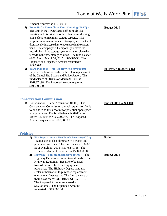<span id="page-10-5"></span><span id="page-10-4"></span><span id="page-10-3"></span><span id="page-10-2"></span><span id="page-10-1"></span><span id="page-10-0"></span>

|                 | Amount requested is \$70,000.00.                         |                                 |
|-----------------|----------------------------------------------------------|---------------------------------|
| 8)              | Town Hall - Town Clerk Vault Shelving (0817) -           | <b>Budget Ok'd</b>              |
|                 | The vault in the Town Clerk's office holds vital         |                                 |
|                 | statistics and historical records. The current shelving  |                                 |
|                 | unit is close to maximum storage capacity. This          |                                 |
|                 | proposal is for a new compact storage system that will   |                                 |
|                 | dramatically increase the storage space in the current   |                                 |
|                 |                                                          |                                 |
|                 | vault. The company will temporarily remove the           |                                 |
|                 | records, install the storage system and then place the   |                                 |
|                 | records in the new storage solution. The fund balance    |                                 |
|                 | of 0817 as of March 31, 2015 is \$99,599.50. The         |                                 |
|                 | Proposed and Expended Amount requested is                |                                 |
|                 | \$25,000.00.                                             |                                 |
| 9)              | Town Manager - Public Safety Facility (0840) -           | <b>In Revised Budget Failed</b> |
|                 | Proposed addition to funds for the future replacement    |                                 |
|                 | of the Central Fire Station and Police Station. The      |                                 |
|                 | fund balance of 0840 as of March 31, 2015 is             |                                 |
|                 | \$161,874.98. The Proposed Amount requested is           |                                 |
|                 | \$199,500.00.                                            |                                 |
|                 |                                                          |                                 |
|                 |                                                          |                                 |
|                 |                                                          |                                 |
|                 | <b>Conservation Commission</b>                           |                                 |
| 1)              | $Conservation - Land Acquisition (0705) - The$           | Budget Ok'd @ \$50,000          |
|                 | Conservation Commission annual request for funds         |                                 |
|                 | to be added to this account for potential open space     |                                 |
|                 | land purchases. The fund balance in 0705 as of           |                                 |
|                 | March 31, 2015 is \$569,297.97. The Proposed             |                                 |
|                 | Amount requested is \$100,000.00.                        |                                 |
|                 |                                                          |                                 |
|                 |                                                          |                                 |
| <b>Vehicles</b> |                                                          |                                 |
|                 | <b>Fire Department - Fire Truck Reserve (0703)</b><br>1) | <b>Failed</b>                   |
|                 | - Request is to also eliminate two trucks and            |                                 |
|                 |                                                          |                                 |
|                 | purchase one truck. The fund balance of 0703             |                                 |
|                 | as of March 31, 2015 is \$975,541.58. The                |                                 |
|                 | Expended Amount requested is \$500,000.00.               |                                 |
|                 | 2) Highway - Equipment Reserve $(0701)$ – The            | <b>Budget Ok'd</b>              |
|                 | Highway Department seeks to add funds to the             |                                 |
|                 | Highway Equipment Reserve to be used                     |                                 |
|                 | toward future vehicle and equipment                      |                                 |
|                 | purchases. The Highway Department also                   |                                 |
|                 | seeks authorization to purchase replacement              |                                 |
|                 | equipment if necessary. The fund balance of              |                                 |
|                 | 0701 as of March 31, 2015 is \$142,719.12.               |                                 |
|                 |                                                          |                                 |
|                 | The Proposed Amount requested is                         |                                 |
|                 | \$150,000.00. The Expended Amount                        |                                 |
|                 | requested is \$75,000.00.                                |                                 |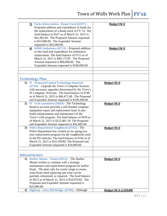<span id="page-11-8"></span><span id="page-11-7"></span><span id="page-11-6"></span><span id="page-11-5"></span><span id="page-11-4"></span><span id="page-11-3"></span><span id="page-11-2"></span><span id="page-11-1"></span><span id="page-11-0"></span>

|    | 3) Parks & Recreation - Dump Truck (0527) -                        | <b>Budget Ok'd</b>           |
|----|--------------------------------------------------------------------|------------------------------|
|    | Proposed addition and expenditure of funds for                     |                              |
|    | the replacement of a dump truck in FY'16. The                      |                              |
|    | fund balance in 0527 as of March 31, 2015 is                       |                              |
|    | \$41,965.06. The Proposed Amount requested                         |                              |
|    | is \$15,000.00. The Expended Amount                                |                              |
|    | requested is $$45,000.00$ .                                        |                              |
|    | <b>WEMS Ambulance (0715) - Proposed addition</b><br>$\overline{4}$ | <b>Budget Ok'd</b>           |
|    | to this fund and expenditure for ambulance                         |                              |
|    | replacement. The fund balance of 0715 as of                        |                              |
|    | March 31, 2015 is \$99,175.85. The Proposed                        |                              |
|    | Amount requested is \$60,000.00. The                               |                              |
|    | Expended Amount requested is \$180,000.00.                         |                              |
|    |                                                                    |                              |
|    |                                                                    |                              |
|    |                                                                    |                              |
|    | <b>Technology Plan</b>                                             |                              |
|    | 1) IT - Proposed Capital Technology Expenses                       | <b>Budget Ok'd</b>           |
|    | $(0740)$ – Upgrade the Town's Computer Systems                     |                              |
|    | with necessary upgrades determined by the Town's                   |                              |
|    | IT Company, Winxnet. The fund balance of 0740                      |                              |
|    | as of March 31, 2015 is \$66,472.48. The Proposed                  |                              |
|    | and Expended Amount requested is \$109,389.00.                     |                              |
| 2) | IT - Tech Committee (0830) - The Technology                        | <b>Budget Ok'd</b>           |
|    | Reserve account provides a self-funded computer                    |                              |
|    | equipment repair and replacement fund. It also                     |                              |
|    | funds enhancements and maintenance of the                          |                              |
|    | Town's GIS program. The fund balance of 0830 as                    |                              |
|    | of March 31, 2015 is \$122,481.18. The Proposed                    |                              |
|    | and Expended Amount requested is \$41,682.00.                      |                              |
| 3) | <b>Police Department Toughbook (0742) - The</b>                    | <b>Budget Ok'd</b>           |
|    | Police Department has created an on-going two                      |                              |
|    | year replacement program for the toughbooks used                   |                              |
|    | in the PD vehicles. The fund balance of 0742 as of                 |                              |
|    | March 31, 2015 is \$14,199.80. The Proposed and                    |                              |
|    | Expended Amount requested is \$10,000.00.                          |                              |
|    |                                                                    |                              |
|    |                                                                    |                              |
|    | <b>Infrastructure</b>                                              |                              |
|    | 1) Harbor Master - Floats (0013) - The Harbor                      | <b>Budget Ok'd</b>           |
|    | Master wishes to continue with a strategic                         |                              |
|    | maintenance and replacement program for harbor                     |                              |
|    | floats. The plan calls for yearly triage to assess                 |                              |
|    | what floats need replacing and what can be                         |                              |
|    | patched, refastened, or repaired. The fund balance                 |                              |
|    | of 0013 as of March 31, 2015 is \$10,970.82. The                   |                              |
|    | Proposed and Expended Amount requested is                          |                              |
|    | \$25,000.00.                                                       |                              |
| 2) | Highway - Coles Hill Bridge- (0708) - Although                     | <b>Budget Ok'd @\$20,000</b> |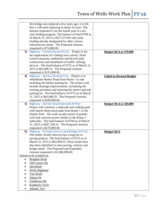<span id="page-12-3"></span><span id="page-12-2"></span><span id="page-12-1"></span><span id="page-12-0"></span>

|           | this bridge was replaced a few years ago, it is felt |                                 |
|-----------|------------------------------------------------------|---------------------------------|
|           | that it will need replacing in about 10 years. The   |                                 |
|           | amount requested is for the fourth year of a ten     |                                 |
|           | year funding program. The balance of fund 0708 as    |                                 |
|           | of March 31, 2015 is \$527,573.00 with some          |                                 |
|           | funding already designated for other various         |                                 |
|           | infrastructure needs. The Proposed Amount            |                                 |
|           | requested is \$75,000.00.                            |                                 |
| 3)        | Highway - Furbish Road $(0723)$ – Project is for     | <b>Budget Ok'd @ \$70.000</b>   |
|           | the replacement of a failing river culvert, flood    |                                 |
|           | control measures, pedestrian and bicycle path        |                                 |
|           | construction and installation of traffic calming     |                                 |
|           | devices. The fund balance of 0723 as of March 31,    |                                 |
|           | 2015 is \$63,008.35. The Proposed Amount             |                                 |
|           | requested is \$125,000.00.                           |                                 |
| 4)        | Highway - Harbor Road $(0723)$ – Project is to       | <b>Failed in Revised Budget</b> |
|           | rehabilitate Harbor Road from Route 1 to and         |                                 |
|           | including the harbor parking lot. The project will   |                                 |
|           | include drainage improvements, reclaiming the        |                                 |
|           | existing pavement and repaving the entire road and   |                                 |
|           | parking lot. The fund balance of 0723 as of March    |                                 |
|           | 31, 2015 is \$63,008.35. The Proposed Amount         |                                 |
|           | requested is \$100,000.00.                           |                                 |
| 5)        | Highway - Harbor Road Sidewalk (0704) -              | <b>Budget Ok'd @ \$30,000</b>   |
|           | Project will construct a sidewalk and walking path   |                                 |
|           | with marsh observation pads from Route 1 to the      |                                 |
|           | Harbor Park. The walk would consist of granite       |                                 |
|           | curb and concrete pavers similar to the Route 1      |                                 |
|           | sidewalks. The fund balance of 0704 as of March      |                                 |
|           | 31, 2015 is \$287,230.14. The Proposed Amount        |                                 |
|           | requested is \$270,000.00.                           |                                 |
| 6         | Highway - Paving/Culverts and Bridges (0723) -       | <b>Budget Ok'd</b>              |
|           | The Public Works Director has a long list of         |                                 |
|           | paving projects. The fund balance of 0723 as of      |                                 |
|           | March 31, 2015 is \$63,008.35. These funds have      |                                 |
|           | also been identified to meet paving, culverts and    |                                 |
|           | bridge needs. The Proposed and Expended              |                                 |
|           | Amount requested is \$1,000,000.00.                  |                                 |
|           | Streets to be worked on:                             |                                 |
| $\bullet$ | <b>Bragdon Road</b>                                  |                                 |
|           | Old County Rd                                        |                                 |
|           | Spicebush                                            |                                 |
|           | <b>Wells Highland</b>                                |                                 |
|           | <b>Tote Road</b>                                     |                                 |
|           | Alpine Dr                                            |                                 |
|           | Clubhouse Rd                                         |                                 |
|           | Kimberly Circle                                      |                                 |
|           |                                                      |                                 |
|           | <b>Atlantic Ave</b>                                  |                                 |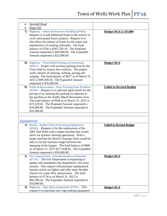<span id="page-13-6"></span><span id="page-13-5"></span><span id="page-13-4"></span><span id="page-13-3"></span><span id="page-13-2"></span><span id="page-13-1"></span><span id="page-13-0"></span>

|    | <b>Newhall Road</b>                                        |                                 |
|----|------------------------------------------------------------|---------------------------------|
|    | Elmer Rd                                                   |                                 |
| 7) | Highway - Sidewalk Reserve Funding (0704) -                | <b>Budget Ok'd @ \$15,000</b>   |
|    | Request is to add additional funds to the reserve to       |                                 |
|    | cover anticipated future projects. Request is to           |                                 |
|    | also allow the release of funds for the repair and         |                                 |
|    | maintenance of existing sidewalks. The fund                |                                 |
|    | balance of 0704 is \$287,230.14. The Proposed              |                                 |
|    | Amount requested is \$50,000.00. The Expended              |                                 |
|    | Amount requested is \$25,000.00.                           |                                 |
|    |                                                            |                                 |
| 8) | <b>Highway - Town Hall Parking Lot Extension</b>           | <b>Budget Ok'd</b>              |
|    | $(0817)$ – Project will increase parking area for the      |                                 |
|    | Town Hall by twenty-five vehicles. The project             |                                 |
|    | work consists of clearing, curbing, paving and             |                                 |
|    |                                                            |                                 |
|    | striping. The fund balance of 0817 as of March 31,         |                                 |
|    | 2015 is \$99,599.50. The Expended Amount                   |                                 |
|    | requested is \$35,000.00.                                  |                                 |
| 9) | <b>Parks &amp; Recreation - Pave Parking Near Pavilion</b> | <b>Failed in Revised Budget</b> |
|    | $(0500)$ – Request is to add and spend funds for the       |                                 |
|    | paving of an existing dirt parking lot adjacent to         |                                 |
|    | the pavilion as the Walter Marsh Recreation Area.          |                                 |
|    | The fund balance of 0500 as of March 31, 2015 is           |                                 |
|    | \$75,529.63. The Proposed Amount requested is              |                                 |
|    | \$16,000.00. The Expended Amount requested is              |                                 |
|    | \$32,000.00.                                               |                                 |
|    |                                                            |                                 |
|    |                                                            |                                 |
|    | <b>Equipment</b>                                           |                                 |
|    | 1) Beach - Replace Beach Cleaning Equipment                | <b>Failed in Revised Budget</b> |
|    | $(0900)$ – Request is for the replacement of the           |                                 |
|    | 2002 Surf Rake with a larger machine that would            |                                 |
|    | allow for quicker cleaning operations. With a              |                                 |
|    | larger machine the Beach Cleaning Team would be            |                                 |
|    | able to run the machine longer between the                 |                                 |
|    | dumping of the hopper. The fund balance of 0900            |                                 |
|    | as of March 31, 2015 \$271,930.83. The Expended            |                                 |
|    | Amount requested is \$50,000.00.                           |                                 |
| 2) | <b>Fire Department - Standardization of Nozzles</b>        | <b>Budget Ok'd</b>              |
|    | $(0734)$ – The Fire Department is requesting to            |                                 |
|    | update and standardize the department's fire hose          |                                 |
|    | nozzles. This request will purchase standardized           |                                 |
|    | nozzles which are lighter and offer more flexible          |                                 |
|    | choices for water flow and pressure. The fund              |                                 |
|    | balance of 0734 as of March 31, 2015 is                    |                                 |
|    | \$92,596.34. The Expended Amount requested is              |                                 |
|    | \$10,000.00.                                               |                                 |
| 3) | Highway - Sign Shop Equipment (0701) - This                | <b>Budget Ok'd</b>              |
|    | request is to purchase new sign making equipment           |                                 |
|    |                                                            |                                 |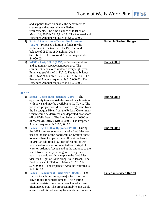<span id="page-14-5"></span><span id="page-14-4"></span><span id="page-14-3"></span><span id="page-14-2"></span><span id="page-14-1"></span><span id="page-14-0"></span>

|                  | and supplies that will enable the department to      |                                 |
|------------------|------------------------------------------------------|---------------------------------|
|                  | create signs that meet the new Federal               |                                 |
|                  | requirements. The fund balance of 0701 as of         |                                 |
|                  | March 31, 2015 is \$142,719.12. The Proposed and     |                                 |
|                  |                                                      |                                 |
|                  | Expended Amount requested is \$20,000.00.            |                                 |
| $\boldsymbol{4}$ | <b>Parks &amp; Recreation - Tractor Replacement</b>  | <b>Failed in Revised Budget</b> |
|                  | $(0527)$ – Proposed addition to funds for the        |                                 |
|                  | replacement of a tractor in FY19. The fund           |                                 |
|                  | balance of 0527 as of March 31, 2015 is              |                                 |
|                  | \$41,965.06. The Proposed Amount requested is        |                                 |
|                  | \$4,000.00.                                          |                                 |
| 5)               | WEMS - EKG/DEFIB (0735) - Proposed addition          | <b>Budget Ok'd</b>              |
|                  | and equipment replacement purchase. The              |                                 |
|                  |                                                      |                                 |
|                  | equipment needs to be replaced every eight years.    |                                 |
|                  | Fund was established in Fy'10. The fund balance      |                                 |
|                  | of 0735 as of March 31, 2015 is \$32,952.80. The     |                                 |
|                  | Proposed Amount requested is \$15,000.00. The        |                                 |
|                  | Expended Amount requested is \$45,000.00.            |                                 |
|                  |                                                      |                                 |
|                  |                                                      |                                 |
| <b>Other</b>     |                                                      |                                 |
| 1)               | <b>Beach - Beach Sand Purchase (0806) - The</b>      | <b>Budget Ok'd</b>              |
|                  | opportunity to re-nourish the eroded beach system    |                                 |
|                  | with new sand may be available to the Town. The      |                                 |
|                  | proposed project would purchase dredge sand from     |                                 |
|                  | the Piscataquis River from the Federal Government    |                                 |
|                  | which would be delivered and deposited near shore    |                                 |
|                  | off of Wells Beach. The fund balance of 0806 as      |                                 |
|                  | of March 31, 2015 is \$100,000.00. The Proposed      |                                 |
|                  |                                                      |                                 |
|                  | Amount requested is \$100,000.00.                    |                                 |
| 2)               | <b>Beach - Right of Way Upgrade (0900) - During</b>  | <b>Budget Ok'd</b>              |
|                  | the 2013 summer season a trial of a MobiMat was      |                                 |
|                  | used at the end of the boardwalk on Eastern Shore    |                                 |
|                  | to extend handicapped accessibility at the beach.    |                                 |
|                  | In 2014 an additional 750 feet of MobiMat was        |                                 |
|                  | purchased to be used on selected beach right of      |                                 |
|                  | ways on Atlantic Avenue and at the entrance to the   |                                 |
|                  | beach from the Jetty parking lot. This year's        |                                 |
|                  |                                                      |                                 |
|                  | purchase would continue to place the MobiMat in      |                                 |
|                  | identified Right of Ways along Wells Beach. The      |                                 |
|                  | fund balance of 0900 as of March 31, 2015 is         |                                 |
|                  | \$271,930.83. The Expended Amount requested is       |                                 |
|                  | \$45,000.00.                                         |                                 |
| 3)               | <b>Beach - Bleachers at Harbor Park (0900) - The</b> | <b>Failed in Revised Budget</b> |
|                  | Harbor Park is becoming a major focus for the        |                                 |
|                  | Town to use for entertainment. The existing          |                                 |
|                  | seating consists of memorial benches which are       |                                 |
|                  | often maxed out. The proposed mobile unit would      |                                 |
|                  | allow for additional seating for events and concerts |                                 |
|                  |                                                      |                                 |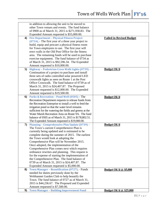<span id="page-15-5"></span><span id="page-15-4"></span><span id="page-15-3"></span><span id="page-15-2"></span><span id="page-15-1"></span><span id="page-15-0"></span>

|    | in addition to allowing the unit to be moved to          |                                 |
|----|----------------------------------------------------------|---------------------------------|
|    | other Town venues and events. The fund balance           |                                 |
|    | of 0900 as of March 31, 2015 is \$271,930.83. The        |                                 |
|    | Expended Amount requested is \$55,000.00.                |                                 |
| 4) | <b>Fire Department - Physical Fitness Project</b>        | <b>Failed in Revised Budget</b> |
|    | $(0734)$ – The first year of a three year project to     |                                 |
|    | build, equip and procure a physical fitness room         |                                 |
|    |                                                          |                                 |
|    | for Town employees to use. The first year will           |                                 |
|    | erect walls in the Old Post Office for the fitness       |                                 |
|    | area. The remaining funds will be used to purchase       |                                 |
|    | exercise equipment. The fund balance of 0734 as          |                                 |
|    | of March 31, 2015 is \$92,596.34. The Expended           |                                 |
|    | Amount requested is \$10,000.00.                         |                                 |
| 5) | Highway - Pedestrian Cross Walk Lights (0739) -          | <b>Budget Ok'd</b>              |
|    | Continuation of a project to purchase and install        |                                 |
|    | three sets of radio controlled solar powered LED         |                                 |
|    | crosswalk lights as seen on Route 1 at the Post          |                                 |
|    | Office Crosswalk. The fund balance of 0739 as of         |                                 |
|    | March 31, 2015 is \$24,407.87. The Proposed              |                                 |
|    |                                                          |                                 |
|    | Amount requested is \$12,000.00. The Expended            |                                 |
|    | Amount requested is \$19,500.00.                         |                                 |
| 6  | Parks & Recreation - Pond Well (0505) - The              | <b>Budget Ok'd</b>              |
|    | Recreation Department requests to release funds from     |                                 |
|    | the Recreation Enterprise to install a well to feed the  |                                 |
|    | irrigation pond so that the water level remains          |                                 |
|    | sufficient for the watering the fields and greens at the |                                 |
|    | Water Marsh Recreation Area on Route 9A. The fund        |                                 |
|    | balance of 0505 as of March 31, 2015 is \$178,802.51.    |                                 |
|    | The Expended Amount requested is \$19,000.00.            |                                 |
| 7) | Planning - Comprehensive Plan Update (0739) -            | <b>Budget Ok'd</b>              |
|    | The Town's current Comprehensive Plan is                 |                                 |
|    | currently being updated and is estimated to be           |                                 |
|    | complete during the summer of 2015. The earliest         |                                 |
|    | the Town would look at adopting the                      |                                 |
|    | Comprehensive Plan will be November 2015.                |                                 |
|    | Once adopted, the implementation of the                  |                                 |
|    | Comprehensive Plan comes next which requires             |                                 |
|    | ordinance rewrites and planning. This request is         |                                 |
|    | for the expense of starting the implementation of        |                                 |
|    | the Comprehensive Plan. The fund balance of              |                                 |
|    |                                                          |                                 |
|    | 0739 as of March 31, 2015 is \$24,407.87. The            |                                 |
|    | Expended Amount requested is \$5,000.00.                 |                                 |
| 8) | Town Manager - Beautification (0727) - Funds             | <b>Budget Ok'd @ \$5,000</b>    |
|    | needed for duties previously done by the                 |                                 |
|    | Webhannet Garden Club to help beautify the               |                                 |
|    | Town. The fund balance of 0727 as of March 31,           |                                 |
|    | 2015 is \$44,236.67. The Proposed and Expended           |                                 |
|    | Amount requested is \$7,500.00.                          |                                 |
| 9) | <b>Town Manager - Building Improvement Fund</b>          | <b>Budget Ok'd @ \$25,000</b>   |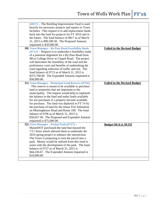<span id="page-16-2"></span><span id="page-16-1"></span><span id="page-16-0"></span>

| $(0817)$ – The Building Improvement Fund is used<br>heavily for necessary projects and repairs to Town<br>facilities. This request is to add replacement funds<br>back into the fund for projects for FY 2016 and in<br>the future. The fund balance of 0817 as of March<br>31, 2015 is \$99,599.50. The Proposed Amount<br>requested is \$50,000.00. |                                     |
|-------------------------------------------------------------------------------------------------------------------------------------------------------------------------------------------------------------------------------------------------------------------------------------------------------------------------------------------------------|-------------------------------------|
| 10) Town Manager - By-Pass Road Feasibility Study                                                                                                                                                                                                                                                                                                     | <b>Failed in the Revised Budget</b> |
| $(0713)$ – Request is to undertake a feasibility study<br>of a potential alignment for a By-Pass Road from                                                                                                                                                                                                                                            |                                     |
| 9B to College Drive or Chapel Road. The project                                                                                                                                                                                                                                                                                                       |                                     |
| will determine the feasibility of the road and the                                                                                                                                                                                                                                                                                                    |                                     |
| preliminary costs and benefits of undertaking the                                                                                                                                                                                                                                                                                                     |                                     |
| road regarding reduction of traffic and use. The                                                                                                                                                                                                                                                                                                      |                                     |
| fund balance of 0713 as of March 31, 2015 is                                                                                                                                                                                                                                                                                                          |                                     |
| \$375,700.00. The Expended Amount requested is                                                                                                                                                                                                                                                                                                        |                                     |
| \$50,000.00.                                                                                                                                                                                                                                                                                                                                          |                                     |
| 11) Town Manager - Municipal Land Reserve (0706)                                                                                                                                                                                                                                                                                                      | <b>Failed in the Revised Budget</b> |
| - This reserve is meant to be available to purchase                                                                                                                                                                                                                                                                                                   |                                     |
| land or properties that are important to the                                                                                                                                                                                                                                                                                                          |                                     |
| municipality. The request would help to replenish<br>the balance in the fund and make funds available                                                                                                                                                                                                                                                 |                                     |
| for use purchases if a property became available                                                                                                                                                                                                                                                                                                      |                                     |
| for purchase. The fund was depleted in FY'14 by                                                                                                                                                                                                                                                                                                       |                                     |
| the purchase of land for the future Fire Substation                                                                                                                                                                                                                                                                                                   |                                     |
| on Meetinghouse Road and Route 109. The fund                                                                                                                                                                                                                                                                                                          |                                     |
| balance of 0706 as of March 31, 2015 is                                                                                                                                                                                                                                                                                                               |                                     |
| \$50,027.49. The Proposed and Expended Amount                                                                                                                                                                                                                                                                                                         |                                     |
| requested is \$75,000.00.                                                                                                                                                                                                                                                                                                                             |                                     |
| 12) Town Manager - Pocket Park (0727) -                                                                                                                                                                                                                                                                                                               | <b>Budget Ok'd @ \$9,152</b>        |
| MaineDOT purchased the land that housed the                                                                                                                                                                                                                                                                                                           |                                     |
| 7/11 Store which allowed them to undertake the                                                                                                                                                                                                                                                                                                        |                                     |
| 2014 spring project to enhance the intersection.                                                                                                                                                                                                                                                                                                      |                                     |
| The Town is proposing to turn the parcel into a<br>park. Money would be utilized from this fund to                                                                                                                                                                                                                                                    |                                     |
| assist with the development of the park. The fund                                                                                                                                                                                                                                                                                                     |                                     |
| balance of 0727 as of March 31, 2015 is                                                                                                                                                                                                                                                                                                               |                                     |
| \$44,236.67. The Expended Amount requested is                                                                                                                                                                                                                                                                                                         |                                     |
| \$10,000.00.                                                                                                                                                                                                                                                                                                                                          |                                     |
|                                                                                                                                                                                                                                                                                                                                                       |                                     |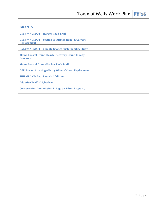<span id="page-17-9"></span><span id="page-17-8"></span><span id="page-17-7"></span><span id="page-17-6"></span><span id="page-17-5"></span><span id="page-17-4"></span><span id="page-17-3"></span><span id="page-17-2"></span><span id="page-17-1"></span><span id="page-17-0"></span>

| <b>GRANTS</b>                                                                          |  |
|----------------------------------------------------------------------------------------|--|
| <b>USF&amp;W / USDOT - Harbor Road Trail</b>                                           |  |
| <b>USF&amp;W / USDOT - Section of Furbish Road &amp; Culvert</b><br><b>Replacement</b> |  |
| <b>USF&amp;W / USDOT - Climate Change Sustainability Study</b>                         |  |
| <b>Maine Coastal Grant-Beach Discovery Grant-Moody</b><br><b>Research</b>              |  |
| <b>Maine Coastal Grant-Harbor Park Trail</b>                                           |  |
| <b>DEP Stream Crossing - Perry Oliver Culvert Replacement</b>                          |  |
| <b>SHIP GRANT-Boat Launch Addition</b>                                                 |  |
| <b>Adaptive Traffic Light Grant</b>                                                    |  |
| <b>Conservation Commission Bridge on Tilton Property</b>                               |  |
|                                                                                        |  |
|                                                                                        |  |
|                                                                                        |  |
|                                                                                        |  |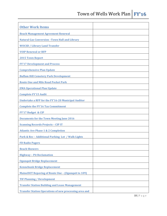<span id="page-18-27"></span><span id="page-18-26"></span><span id="page-18-25"></span><span id="page-18-24"></span><span id="page-18-23"></span><span id="page-18-22"></span><span id="page-18-21"></span><span id="page-18-20"></span><span id="page-18-19"></span><span id="page-18-18"></span><span id="page-18-17"></span><span id="page-18-16"></span><span id="page-18-15"></span><span id="page-18-14"></span><span id="page-18-13"></span><span id="page-18-12"></span><span id="page-18-11"></span><span id="page-18-10"></span><span id="page-18-9"></span><span id="page-18-8"></span><span id="page-18-7"></span><span id="page-18-6"></span><span id="page-18-5"></span><span id="page-18-4"></span><span id="page-18-3"></span><span id="page-18-2"></span><span id="page-18-1"></span><span id="page-18-0"></span>

| <b>Other Work Items</b>                                       |  |
|---------------------------------------------------------------|--|
| <b>Beach Management Agreement Renewal</b>                     |  |
| <b>Natural Gas Conversion - Town Hall and Library</b>         |  |
| <b>WOCSD / Library Land Transfer</b>                          |  |
| <b>VOIP Renewal or RFP</b>                                    |  |
| <b>2015 Town Report</b>                                       |  |
| <b>FY'17 Development and Process</b>                          |  |
| <b>Comprehensive Plan Update</b>                              |  |
| <b>Buffam Hill Cemetery Park Development</b>                  |  |
| <b>Route One and Mile Road Pocket Park</b>                    |  |
| <b>EMA Operational Plan Update</b>                            |  |
| <b>Complete FY'15 Audit</b>                                   |  |
| <b>Undertake a RFP for the FY'16-20 Municipal Auditor</b>     |  |
| <b>Complete the FY'16 Tax Commitment</b>                      |  |
| FY'17 Budget & CIP                                            |  |
| <b>Documents for the Town Meeting June 2016</b>               |  |
| <b>Scanning Records Projects - CIP IT</b>                     |  |
| <b>Atlantic Ave Phase 1 &amp; 2 Completion</b>                |  |
| Park & Rec - Additional Parking Lot / Walk Lights             |  |
| <b>FD Radio Pagers</b>                                        |  |
| <b>Beach Showers</b>                                          |  |
| <b>Highway - Pit Reclamation</b>                              |  |
| <b>Ogunquit Bridge Replacement</b>                            |  |
| <b>Kennebunk Bridge Replacement</b>                           |  |
| <b>MaineDOT Repaving of Route One - (Ogunquit to 109)</b>     |  |
| <b>TIF Planning / Development</b>                             |  |
| <b>Transfer Station Building and Lease Management</b>         |  |
| <b>Transfer Station Operations of new processing area and</b> |  |